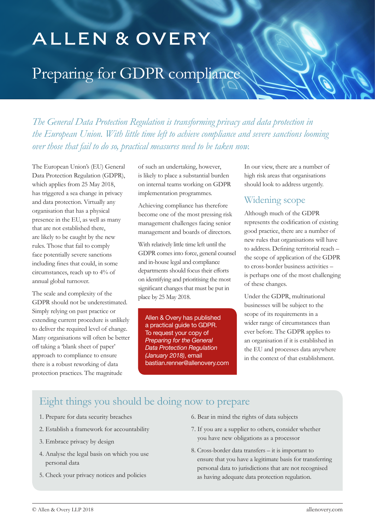# ALLEN & OVERY

# Preparing for GDPR compliance

*The General Data Protection Regulation is transforming privacy and data protection in the European Union. With little time left to achieve compliance and severe sanctions looming over those that fail to do so, practical measures need to be taken now.*

The European Union's (EU) General Data Protection Regulation (GDPR), which applies from 25 May 2018, has triggered a sea change in privacy and data protection. Virtually any organisation that has a physical presence in the EU, as well as many that are not established there, are likely to be caught by the new rules. Those that fail to comply face potentially severe sanctions including fines that could, in some circumstances, reach up to 4% of annual global turnover.

The scale and complexity of the GDPR should not be underestimated. Simply relying on past practice or extending current procedure is unlikely to deliver the required level of change. Many organisations will often be better off taking a 'blank sheet of paper' approach to compliance to ensure there is a robust reworking of data protection practices. The magnitude

of such an undertaking, however, is likely to place a substantial burden on internal teams working on GDPR implementation programmes.

Achieving compliance has therefore become one of the most pressing risk management challenges facing senior management and boards of directors.

With relatively little time left until the GDPR comes into force, general counsel and in-house legal and compliance departments should focus their efforts on identifying and prioritising the most significant changes that must be put in place by 25 May 2018.

Allen & Overy has published a practical guide to GDPR. To request your copy of Preparing for the General Data Protection Regulation (January 2018), email bastian.renner@allenovery.com

In our view, there are a number of high risk areas that organisations should look to address urgently.

### Widening scope

Although much of the GDPR represents the codification of existing good practice, there are a number of new rules that organisations will have to address. Defining territorial reach – the scope of application of the GDPR to cross-border business activities – is perhaps one of the most challenging of these changes.

Under the GDPR, multinational businesses will be subject to the scope of its requirements in a wider range of circumstances than ever before. The GDPR applies to an organisation if it is established in the EU and processes data anywhere in the context of that establishment.

## Eight things you should be doing now to prepare

- 1. Prepare for data security breaches
- 2. Establish a framework for accountability
- 3. Embrace privacy by design
- 4. Analyse the legal basis on which you use personal data
- 5. Check your privacy notices and policies
- 6. Bear in mind the rights of data subjects
- 7. If you are a supplier to others, consider whether you have new obligations as a processor
- 8. Cross-border data transfers it is important to ensure that you have a legitimate basis for transferring personal data to jurisdictions that are not recognised as having adequate data protection regulation.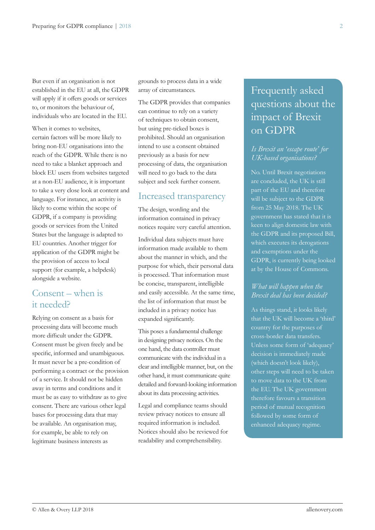But even if an organisation is not established in the EU at all, the GDPR will apply if it offers goods or services to, or monitors the behaviour of, individuals who are located in the EU.

When it comes to websites. certain factors will be more likely to bring non-EU organisations into the reach of the GDPR. While there is no need to take a blanket approach and block EU users from websites targeted at a non-EU audience, it is important to take a very close look at content and language. For instance, an activity is likely to come within the scope of GDPR, if a company is providing goods or services from the United States but the language is adapted to EU countries. Another trigger for application of the GDPR might be the provision of access to local support (for example, a helpdesk) alongside a website.

## Consent – when is it needed?

Relying on consent as a basis for processing data will become much more difficult under the GDPR. Consent must be given freely and be specific, informed and unambiguous. It must never be a pre-condition of performing a contract or the provision of a service. It should not be hidden away in terms and conditions and it must be as easy to withdraw as to give consent. There are various other legal bases for processing data that may be available. An organisation may, for example, be able to rely on legitimate business interests as

grounds to process data in a wide array of circumstances.

The GDPR provides that companies can continue to rely on a variety of techniques to obtain consent, but using pre-ticked boxes is prohibited. Should an organisation intend to use a consent obtained previously as a basis for new processing of data, the organisation will need to go back to the data subject and seek further consent.

#### Increased transparency

The design, wording and the information contained in privacy notices require very careful attention.

Individual data subjects must have information made available to them about the manner in which, and the purpose for which, their personal data is processed. That information must be concise, transparent, intelligible and easily accessible. At the same time, the list of information that must be included in a privacy notice has expanded significantly.

This poses a fundamental challenge in designing privacy notices. On the one hand, the data controller must communicate with the individual in a clear and intelligible manner, but, on the other hand, it must communicate quite detailed and forward-looking information about its data processing activities.

Legal and compliance teams should review privacy notices to ensure all required information is included. Notices should also be reviewed for readability and comprehensibility.

## Frequently asked questions about the impact of Brexit on GDPR

#### *Is Brexit an 'escape route' for UK-based organisations?*

No. Until Brexit negotiations are concluded, the UK is still part of the EU and therefore will be subject to the GDPR from 25 May 2018. The UK government has stated that it is keen to align domestic law with the GDPR and its proposed Bill, which executes its derogations and exemptions under the GDPR, is currently being looked at by the House of Commons.

#### *What will happen when the Brexit deal has been decided?*

As things stand, it looks likely that the UK will become a 'third' country for the purposes of cross-border data transfers. Unless some form of 'adequacy' decision is immediately made (which doesn't look likely), other steps will need to be taken to move data to the UK from the EU. The UK government therefore favours a transition period of mutual recognition followed by some form of enhanced adequacy regime.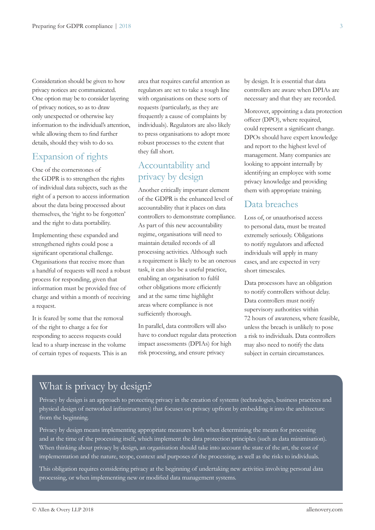Consideration should be given to how privacy notices are communicated. One option may be to consider layering of privacy notices, so as to draw only unexpected or otherwise key information to the individual's attention, while allowing them to find further details, should they wish to do so.

### Expansion of rights

One of the cornerstones of the GDPR is to strengthen the rights of individual data subjects, such as the right of a person to access information about the data being processed about themselves, the 'right to be forgotten' and the right to data portability.

Implementing these expanded and strengthened rights could pose a significant operational challenge. Organisations that receive more than a handful of requests will need a robust process for responding, given that information must be provided free of charge and within a month of receiving a request.

It is feared by some that the removal of the right to charge a fee for responding to access requests could lead to a sharp increase in the volume of certain types of requests. This is an area that requires careful attention as regulators are set to take a tough line with organisations on these sorts of requests (particularly, as they are frequently a cause of complaints by individuals). Regulators are also likely to press organisations to adopt more robust processes to the extent that they fall short.

## Accountability and privacy by design

Another critically important element of the GDPR is the enhanced level of accountability that it places on data controllers to demonstrate compliance. As part of this new accountability regime, organisations will need to maintain detailed records of all processing activities. Although such a requirement is likely to be an onerous task, it can also be a useful practice, enabling an organisation to fulfil other obligations more efficiently and at the same time highlight areas where compliance is not sufficiently thorough.

In parallel, data controllers will also have to conduct regular data protection impact assessments (DPIAs) for high risk processing, and ensure privacy

by design. It is essential that data controllers are aware when DPIAs are necessary and that they are recorded.

Moreover, appointing a data protection officer (DPO), where required, could represent a significant change. DPOs should have expert knowledge and report to the highest level of management. Many companies are looking to appoint internally by identifying an employee with some privacy knowledge and providing them with appropriate training.

#### Data breaches

Loss of, or unauthorised access to personal data, must be treated extremely seriously. Obligations to notify regulators and affected individuals will apply in many cases, and are expected in very short timescales.

Data processors have an obligation to notify controllers without delay. Data controllers must notify supervisory authorities within 72 hours of awareness, where feasible, unless the breach is unlikely to pose a risk to individuals. Data controllers may also need to notify the data subject in certain circumstances.

## What is privacy by design?

Privacy by design is an approach to protecting privacy in the creation of systems (technologies, business practices and physical design of networked infrastructures) that focuses on privacy upfront by embedding it into the architecture from the beginning.

Privacy by design means implementing appropriate measures both when determining the means for processing and at the time of the processing itself, which implement the data protection principles (such as data minimisation). When thinking about privacy by design, an organisation should take into account the state of the art, the cost of implementation and the nature, scope, context and purposes of the processing, as well as the risks to individuals.

This obligation requires considering privacy at the beginning of undertaking new activities involving personal data processing, or when implementing new or modified data management systems.